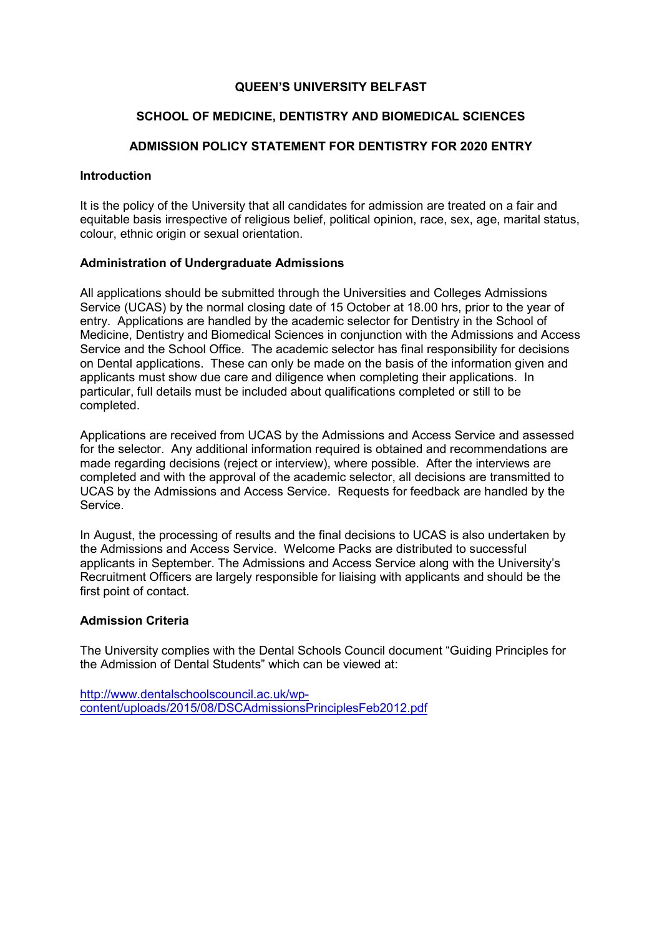## QUEEN'S UNIVERSITY BELFAST

#### SCHOOL OF MEDICINE, DENTISTRY AND BIOMEDICAL SCIENCES

## ADMISSION POLICY STATEMENT FOR DENTISTRY FOR 2020 ENTRY

#### **Introduction**

It is the policy of the University that all candidates for admission are treated on a fair and equitable basis irrespective of religious belief, political opinion, race, sex, age, marital status, colour, ethnic origin or sexual orientation.

#### Administration of Undergraduate Admissions

All applications should be submitted through the Universities and Colleges Admissions Service (UCAS) by the normal closing date of 15 October at 18.00 hrs, prior to the year of entry. Applications are handled by the academic selector for Dentistry in the School of Medicine, Dentistry and Biomedical Sciences in conjunction with the Admissions and Access Service and the School Office. The academic selector has final responsibility for decisions on Dental applications. These can only be made on the basis of the information given and applicants must show due care and diligence when completing their applications. In particular, full details must be included about qualifications completed or still to be completed.

Applications are received from UCAS by the Admissions and Access Service and assessed for the selector. Any additional information required is obtained and recommendations are made regarding decisions (reject or interview), where possible. After the interviews are completed and with the approval of the academic selector, all decisions are transmitted to UCAS by the Admissions and Access Service. Requests for feedback are handled by the Service.

In August, the processing of results and the final decisions to UCAS is also undertaken by the Admissions and Access Service. Welcome Packs are distributed to successful applicants in September. The Admissions and Access Service along with the University's Recruitment Officers are largely responsible for liaising with applicants and should be the first point of contact.

#### Admission Criteria

The University complies with the Dental Schools Council document "Guiding Principles for the Admission of Dental Students" which can be viewed at:

http://www.dentalschoolscouncil.ac.uk/wpcontent/uploads/2015/08/DSCAdmissionsPrinciplesFeb2012.pdf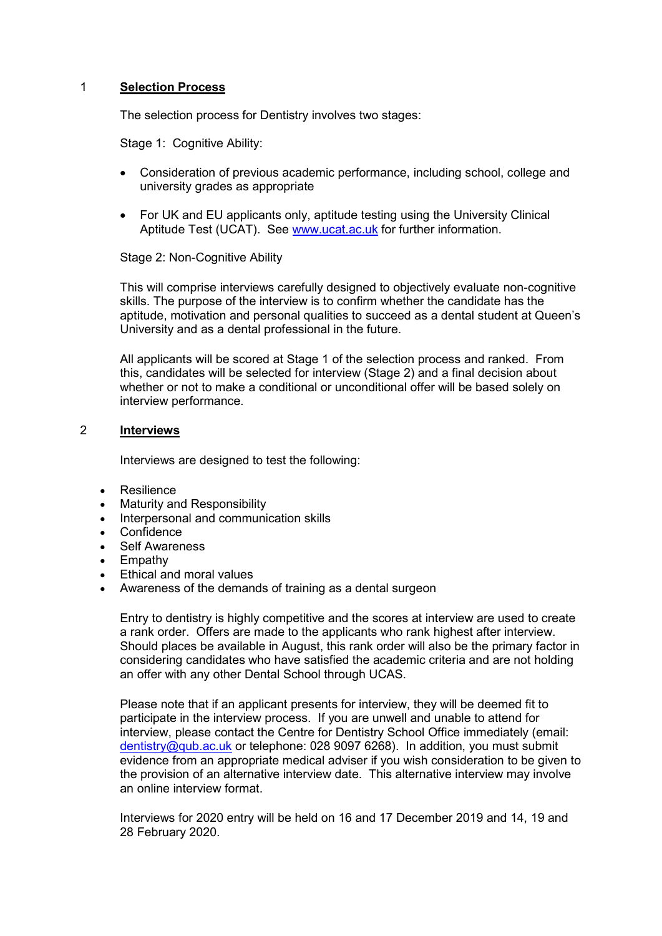## 1 Selection Process

The selection process for Dentistry involves two stages:

Stage 1: Cognitive Ability:

- Consideration of previous academic performance, including school, college and university grades as appropriate
- For UK and EU applicants only, aptitude testing using the University Clinical Aptitude Test (UCAT). See www.ucat.ac.uk for further information.

## Stage 2: Non-Cognitive Ability

This will comprise interviews carefully designed to objectively evaluate non-cognitive skills. The purpose of the interview is to confirm whether the candidate has the aptitude, motivation and personal qualities to succeed as a dental student at Queen's University and as a dental professional in the future.

All applicants will be scored at Stage 1 of the selection process and ranked. From this, candidates will be selected for interview (Stage 2) and a final decision about whether or not to make a conditional or unconditional offer will be based solely on interview performance.

#### 2 Interviews

Interviews are designed to test the following:

- Resilience
- Maturity and Responsibility
- Interpersonal and communication skills
- Confidence
- Self Awareness
- Empathy
- Ethical and moral values
- Awareness of the demands of training as a dental surgeon

Entry to dentistry is highly competitive and the scores at interview are used to create a rank order. Offers are made to the applicants who rank highest after interview. Should places be available in August, this rank order will also be the primary factor in considering candidates who have satisfied the academic criteria and are not holding an offer with any other Dental School through UCAS.

 Please note that if an applicant presents for interview, they will be deemed fit to participate in the interview process. If you are unwell and unable to attend for interview, please contact the Centre for Dentistry School Office immediately (email: dentistry@qub.ac.uk or telephone: 028 9097 6268). In addition, you must submit evidence from an appropriate medical adviser if you wish consideration to be given to the provision of an alternative interview date. This alternative interview may involve an online interview format.

Interviews for 2020 entry will be held on 16 and 17 December 2019 and 14, 19 and 28 February 2020.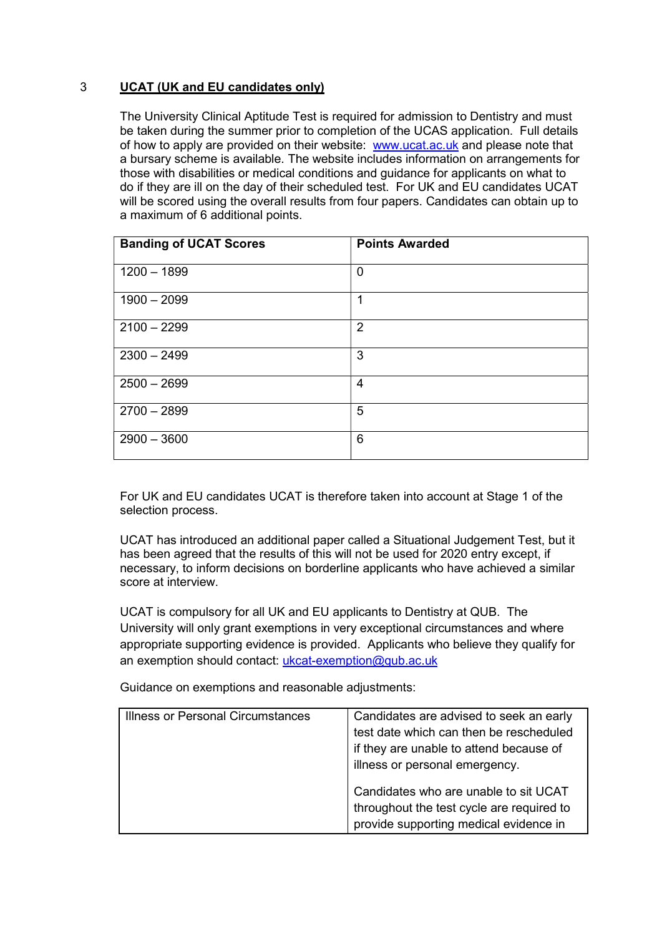# 3 UCAT (UK and EU candidates only)

The University Clinical Aptitude Test is required for admission to Dentistry and must be taken during the summer prior to completion of the UCAS application. Full details of how to apply are provided on their website: www.ucat.ac.uk and please note that a bursary scheme is available. The website includes information on arrangements for those with disabilities or medical conditions and guidance for applicants on what to do if they are ill on the day of their scheduled test. For UK and EU candidates UCAT will be scored using the overall results from four papers. Candidates can obtain up to a maximum of 6 additional points.

| <b>Banding of UCAT Scores</b> | <b>Points Awarded</b> |
|-------------------------------|-----------------------|
| $1200 - 1899$                 | $\mathbf 0$           |
| $1900 - 2099$                 | 1                     |
| $2100 - 2299$                 | $\overline{2}$        |
| $2300 - 2499$                 | 3                     |
| $2500 - 2699$                 | 4                     |
| $2700 - 2899$                 | 5                     |
| $2900 - 3600$                 | 6                     |

For UK and EU candidates UCAT is therefore taken into account at Stage 1 of the selection process.

UCAT has introduced an additional paper called a Situational Judgement Test, but it has been agreed that the results of this will not be used for 2020 entry except, if necessary, to inform decisions on borderline applicants who have achieved a similar score at interview.

UCAT is compulsory for all UK and EU applicants to Dentistry at QUB. The University will only grant exemptions in very exceptional circumstances and where appropriate supporting evidence is provided. Applicants who believe they qualify for an exemption should contact: ukcat-exemption@qub.ac.uk

Guidance on exemptions and reasonable adjustments:

| <b>Illness or Personal Circumstances</b> | Candidates are advised to seek an early   |
|------------------------------------------|-------------------------------------------|
|                                          | test date which can then be rescheduled   |
|                                          | if they are unable to attend because of   |
|                                          | illness or personal emergency.            |
|                                          | Candidates who are unable to sit UCAT     |
|                                          | throughout the test cycle are required to |
|                                          | provide supporting medical evidence in    |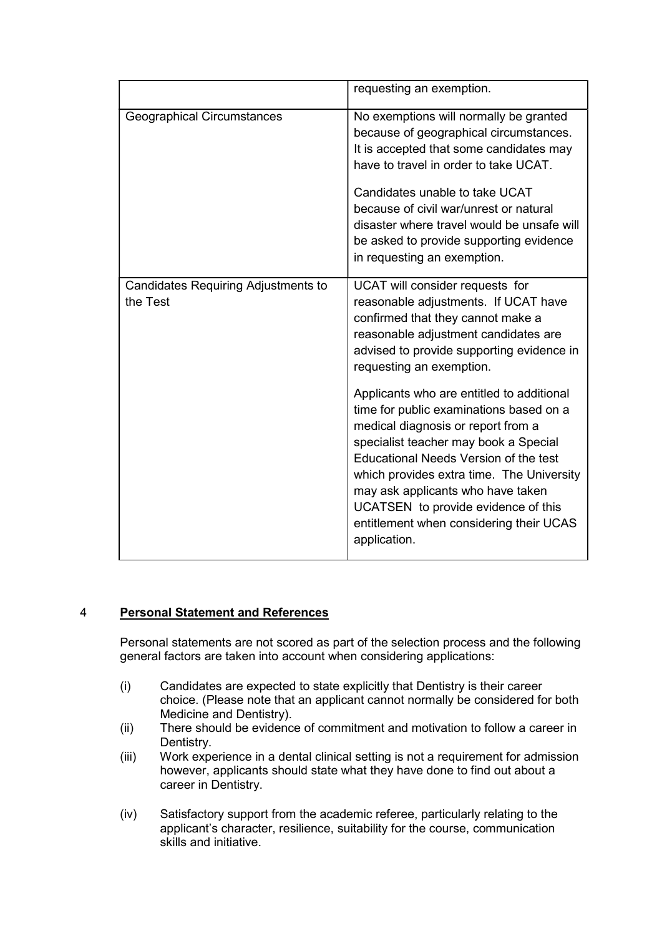|                                                 | requesting an exemption.                                                                                                                                                                                                                                                                                                                                                                         |
|-------------------------------------------------|--------------------------------------------------------------------------------------------------------------------------------------------------------------------------------------------------------------------------------------------------------------------------------------------------------------------------------------------------------------------------------------------------|
| <b>Geographical Circumstances</b>               | No exemptions will normally be granted<br>because of geographical circumstances.<br>It is accepted that some candidates may<br>have to travel in order to take UCAT.<br>Candidates unable to take UCAT<br>because of civil war/unrest or natural<br>disaster where travel would be unsafe will<br>be asked to provide supporting evidence<br>in requesting an exemption.                         |
| Candidates Requiring Adjustments to<br>the Test | UCAT will consider requests for<br>reasonable adjustments. If UCAT have<br>confirmed that they cannot make a<br>reasonable adjustment candidates are<br>advised to provide supporting evidence in<br>requesting an exemption.                                                                                                                                                                    |
|                                                 | Applicants who are entitled to additional<br>time for public examinations based on a<br>medical diagnosis or report from a<br>specialist teacher may book a Special<br>Educational Needs Version of the test<br>which provides extra time. The University<br>may ask applicants who have taken<br>UCATSEN to provide evidence of this<br>entitlement when considering their UCAS<br>application. |

## 4 Personal Statement and References

Personal statements are not scored as part of the selection process and the following general factors are taken into account when considering applications:

- (i) Candidates are expected to state explicitly that Dentistry is their career choice. (Please note that an applicant cannot normally be considered for both Medicine and Dentistry).
- (ii) There should be evidence of commitment and motivation to follow a career in Dentistry.
- (iii) Work experience in a dental clinical setting is not a requirement for admission however, applicants should state what they have done to find out about a career in Dentistry.
- (iv) Satisfactory support from the academic referee, particularly relating to the applicant's character, resilience, suitability for the course, communication skills and initiative.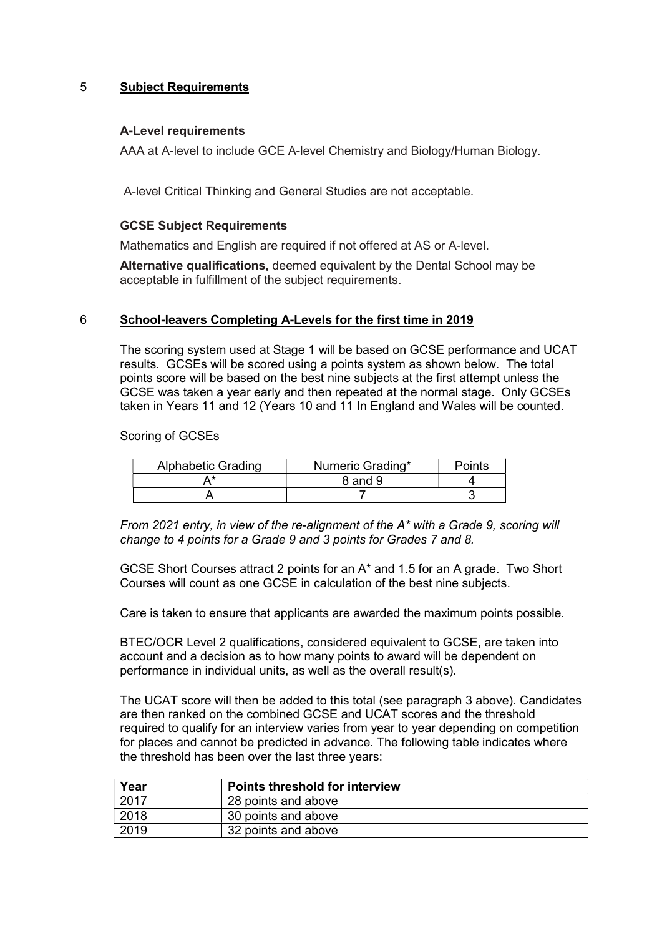## 5 Subject Requirements

## A-Level requirements

AAA at A-level to include GCE A-level Chemistry and Biology/Human Biology.

A-level Critical Thinking and General Studies are not acceptable.

#### GCSE Subject Requirements

Mathematics and English are required if not offered at AS or A-level.

Alternative qualifications, deemed equivalent by the Dental School may be acceptable in fulfillment of the subject requirements.

#### 6 School-leavers Completing A-Levels for the first time in 2019

The scoring system used at Stage 1 will be based on GCSE performance and UCAT results. GCSEs will be scored using a points system as shown below. The total points score will be based on the best nine subjects at the first attempt unless the GCSE was taken a year early and then repeated at the normal stage. Only GCSEs taken in Years 11 and 12 (Years 10 and 11 In England and Wales will be counted.

Scoring of GCSEs

| <b>Alphabetic Grading</b> | Numeric Grading* | Points |
|---------------------------|------------------|--------|
|                           | 8 and 9          |        |
|                           |                  |        |

From 2021 entry, in view of the re-alignment of the A\* with a Grade 9, scoring will change to 4 points for a Grade 9 and 3 points for Grades 7 and 8.

GCSE Short Courses attract 2 points for an A\* and 1.5 for an A grade. Two Short Courses will count as one GCSE in calculation of the best nine subjects.

Care is taken to ensure that applicants are awarded the maximum points possible.

BTEC/OCR Level 2 qualifications, considered equivalent to GCSE, are taken into account and a decision as to how many points to award will be dependent on performance in individual units, as well as the overall result(s).

The UCAT score will then be added to this total (see paragraph 3 above). Candidates are then ranked on the combined GCSE and UCAT scores and the threshold required to qualify for an interview varies from year to year depending on competition for places and cannot be predicted in advance. The following table indicates where the threshold has been over the last three years:

| Year   | <b>Points threshold for interview</b> |
|--------|---------------------------------------|
| . 2017 | 28 points and above                   |
| 2018   | 30 points and above                   |
| 2019   | 32 points and above                   |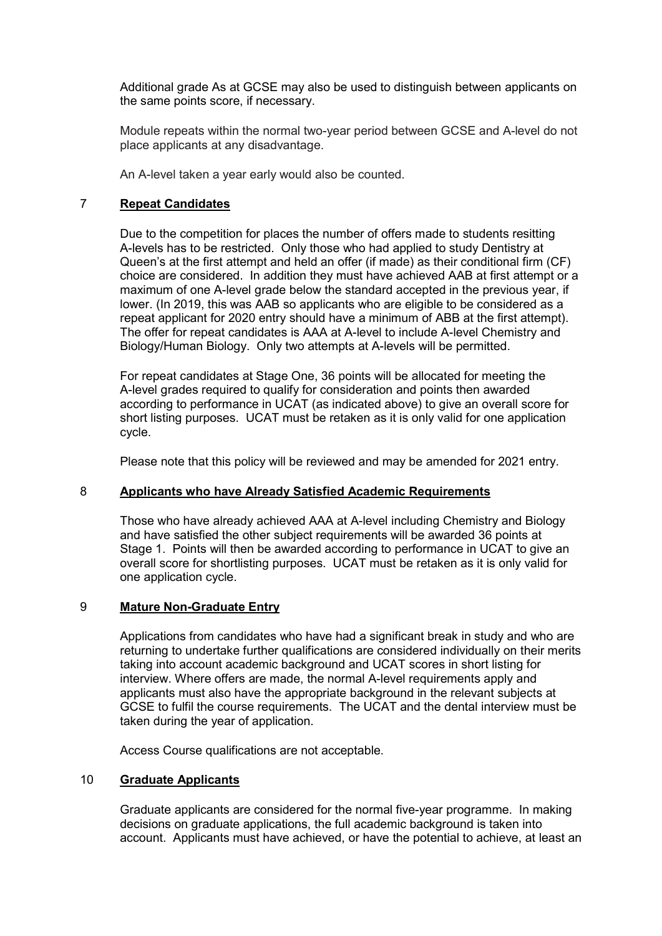Additional grade As at GCSE may also be used to distinguish between applicants on the same points score, if necessary.

Module repeats within the normal two-year period between GCSE and A-level do not place applicants at any disadvantage.

An A-level taken a year early would also be counted.

## 7 Repeat Candidates

Due to the competition for places the number of offers made to students resitting A-levels has to be restricted. Only those who had applied to study Dentistry at Queen's at the first attempt and held an offer (if made) as their conditional firm (CF) choice are considered. In addition they must have achieved AAB at first attempt or a maximum of one A-level grade below the standard accepted in the previous year, if lower. (In 2019, this was AAB so applicants who are eligible to be considered as a repeat applicant for 2020 entry should have a minimum of ABB at the first attempt). The offer for repeat candidates is AAA at A-level to include A-level Chemistry and Biology/Human Biology. Only two attempts at A-levels will be permitted.

For repeat candidates at Stage One, 36 points will be allocated for meeting the A-level grades required to qualify for consideration and points then awarded according to performance in UCAT (as indicated above) to give an overall score for short listing purposes. UCAT must be retaken as it is only valid for one application cycle.

Please note that this policy will be reviewed and may be amended for 2021 entry.

## 8 Applicants who have Already Satisfied Academic Requirements

Those who have already achieved AAA at A-level including Chemistry and Biology and have satisfied the other subject requirements will be awarded 36 points at Stage 1. Points will then be awarded according to performance in UCAT to give an overall score for shortlisting purposes. UCAT must be retaken as it is only valid for one application cycle.

## 9 Mature Non-Graduate Entry

Applications from candidates who have had a significant break in study and who are returning to undertake further qualifications are considered individually on their merits taking into account academic background and UCAT scores in short listing for interview. Where offers are made, the normal A-level requirements apply and applicants must also have the appropriate background in the relevant subjects at GCSE to fulfil the course requirements. The UCAT and the dental interview must be taken during the year of application.

Access Course qualifications are not acceptable.

## 10 Graduate Applicants

Graduate applicants are considered for the normal five-year programme. In making decisions on graduate applications, the full academic background is taken into account. Applicants must have achieved, or have the potential to achieve, at least an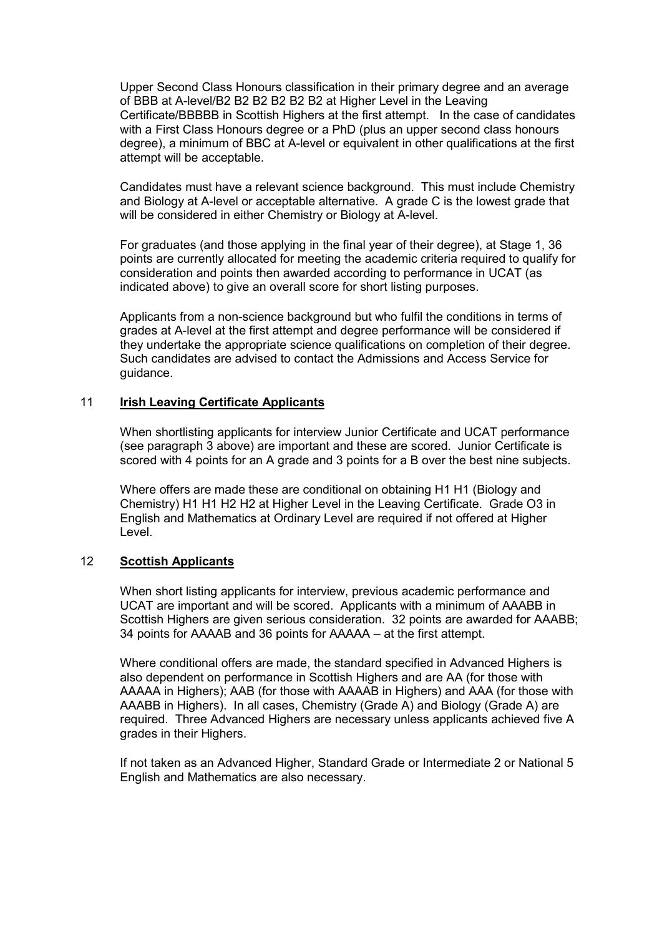Upper Second Class Honours classification in their primary degree and an average of BBB at A-level/B2 B2 B2 B2 B2 B2 at Higher Level in the Leaving Certificate/BBBBB in Scottish Highers at the first attempt. In the case of candidates with a First Class Honours degree or a PhD (plus an upper second class honours degree), a minimum of BBC at A-level or equivalent in other qualifications at the first attempt will be acceptable.

Candidates must have a relevant science background. This must include Chemistry and Biology at A-level or acceptable alternative. A grade C is the lowest grade that will be considered in either Chemistry or Biology at A-level.

For graduates (and those applying in the final year of their degree), at Stage 1, 36 points are currently allocated for meeting the academic criteria required to qualify for consideration and points then awarded according to performance in UCAT (as indicated above) to give an overall score for short listing purposes.

Applicants from a non-science background but who fulfil the conditions in terms of grades at A-level at the first attempt and degree performance will be considered if they undertake the appropriate science qualifications on completion of their degree. Such candidates are advised to contact the Admissions and Access Service for guidance.

#### 11 Irish Leaving Certificate Applicants

When shortlisting applicants for interview Junior Certificate and UCAT performance (see paragraph 3 above) are important and these are scored. Junior Certificate is scored with 4 points for an A grade and 3 points for a B over the best nine subjects.

Where offers are made these are conditional on obtaining H1 H1 (Biology and Chemistry) H1 H1 H2 H2 at Higher Level in the Leaving Certificate. Grade O3 in English and Mathematics at Ordinary Level are required if not offered at Higher Level.

#### 12 Scottish Applicants

When short listing applicants for interview, previous academic performance and UCAT are important and will be scored. Applicants with a minimum of AAABB in Scottish Highers are given serious consideration. 32 points are awarded for AAABB; 34 points for AAAAB and 36 points for AAAAA – at the first attempt.

Where conditional offers are made, the standard specified in Advanced Highers is also dependent on performance in Scottish Highers and are AA (for those with AAAAA in Highers); AAB (for those with AAAAB in Highers) and AAA (for those with AAABB in Highers). In all cases, Chemistry (Grade A) and Biology (Grade A) are required. Three Advanced Highers are necessary unless applicants achieved five A grades in their Highers.

If not taken as an Advanced Higher, Standard Grade or Intermediate 2 or National 5 English and Mathematics are also necessary.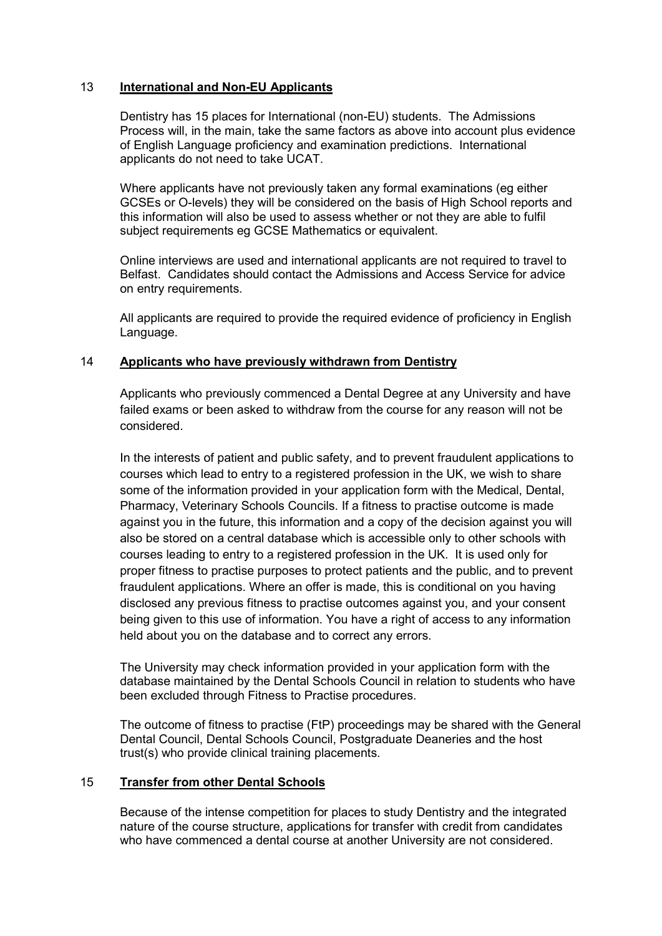## 13 International and Non-EU Applicants

Dentistry has 15 places for International (non-EU) students. The Admissions Process will, in the main, take the same factors as above into account plus evidence of English Language proficiency and examination predictions. International applicants do not need to take UCAT.

Where applicants have not previously taken any formal examinations (eg either GCSEs or O-levels) they will be considered on the basis of High School reports and this information will also be used to assess whether or not they are able to fulfil subject requirements eg GCSE Mathematics or equivalent.

Online interviews are used and international applicants are not required to travel to Belfast. Candidates should contact the Admissions and Access Service for advice on entry requirements.

All applicants are required to provide the required evidence of proficiency in English Language.

## 14 Applicants who have previously withdrawn from Dentistry

Applicants who previously commenced a Dental Degree at any University and have failed exams or been asked to withdraw from the course for any reason will not be considered.

In the interests of patient and public safety, and to prevent fraudulent applications to courses which lead to entry to a registered profession in the UK, we wish to share some of the information provided in your application form with the Medical, Dental, Pharmacy, Veterinary Schools Councils. If a fitness to practise outcome is made against you in the future, this information and a copy of the decision against you will also be stored on a central database which is accessible only to other schools with courses leading to entry to a registered profession in the UK. It is used only for proper fitness to practise purposes to protect patients and the public, and to prevent fraudulent applications. Where an offer is made, this is conditional on you having disclosed any previous fitness to practise outcomes against you, and your consent being given to this use of information. You have a right of access to any information held about you on the database and to correct any errors.

The University may check information provided in your application form with the database maintained by the Dental Schools Council in relation to students who have been excluded through Fitness to Practise procedures.

The outcome of fitness to practise (FtP) proceedings may be shared with the General Dental Council, Dental Schools Council, Postgraduate Deaneries and the host trust(s) who provide clinical training placements.

## 15 Transfer from other Dental Schools

Because of the intense competition for places to study Dentistry and the integrated nature of the course structure, applications for transfer with credit from candidates who have commenced a dental course at another University are not considered.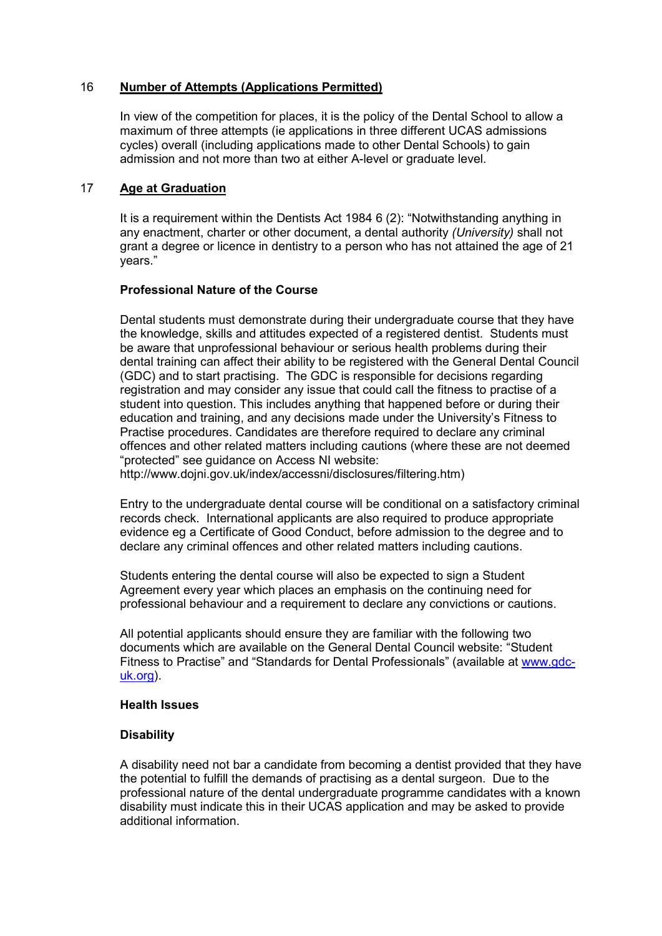## 16 Number of Attempts (Applications Permitted)

In view of the competition for places, it is the policy of the Dental School to allow a maximum of three attempts (ie applications in three different UCAS admissions cycles) overall (including applications made to other Dental Schools) to gain admission and not more than two at either A-level or graduate level.

## 17 Age at Graduation

It is a requirement within the Dentists Act 1984 6 (2): "Notwithstanding anything in any enactment, charter or other document, a dental authority (University) shall not grant a degree or licence in dentistry to a person who has not attained the age of 21 years."

#### Professional Nature of the Course

Dental students must demonstrate during their undergraduate course that they have the knowledge, skills and attitudes expected of a registered dentist. Students must be aware that unprofessional behaviour or serious health problems during their dental training can affect their ability to be registered with the General Dental Council (GDC) and to start practising. The GDC is responsible for decisions regarding registration and may consider any issue that could call the fitness to practise of a student into question. This includes anything that happened before or during their education and training, and any decisions made under the University's Fitness to Practise procedures. Candidates are therefore required to declare any criminal offences and other related matters including cautions (where these are not deemed "protected" see guidance on Access NI website:

http://www.dojni.gov.uk/index/accessni/disclosures/filtering.htm)

Entry to the undergraduate dental course will be conditional on a satisfactory criminal records check. International applicants are also required to produce appropriate evidence eg a Certificate of Good Conduct, before admission to the degree and to declare any criminal offences and other related matters including cautions.

Students entering the dental course will also be expected to sign a Student Agreement every year which places an emphasis on the continuing need for professional behaviour and a requirement to declare any convictions or cautions.

All potential applicants should ensure they are familiar with the following two documents which are available on the General Dental Council website: "Student Fitness to Practise" and "Standards for Dental Professionals" (available at www.gdcuk.org).

#### Health Issues

## **Disability**

A disability need not bar a candidate from becoming a dentist provided that they have the potential to fulfill the demands of practising as a dental surgeon. Due to the professional nature of the dental undergraduate programme candidates with a known disability must indicate this in their UCAS application and may be asked to provide additional information.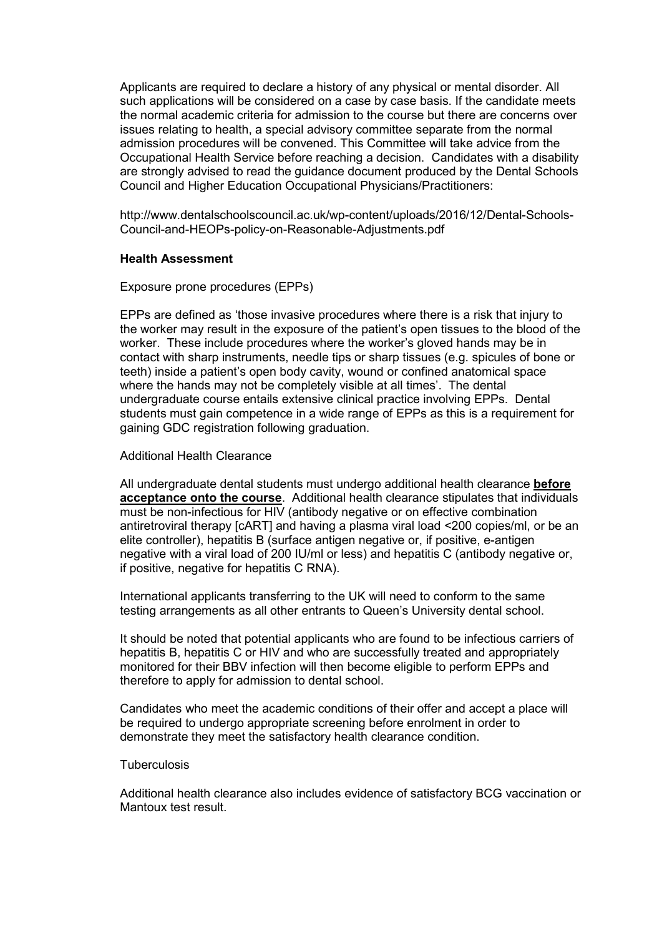Applicants are required to declare a history of any physical or mental disorder. All such applications will be considered on a case by case basis. If the candidate meets the normal academic criteria for admission to the course but there are concerns over issues relating to health, a special advisory committee separate from the normal admission procedures will be convened. This Committee will take advice from the Occupational Health Service before reaching a decision. Candidates with a disability are strongly advised to read the guidance document produced by the Dental Schools Council and Higher Education Occupational Physicians/Practitioners:

http://www.dentalschoolscouncil.ac.uk/wp-content/uploads/2016/12/Dental-Schools-Council-and-HEOPs-policy-on-Reasonable-Adjustments.pdf

#### Health Assessment

Exposure prone procedures (EPPs)

EPPs are defined as 'those invasive procedures where there is a risk that injury to the worker may result in the exposure of the patient's open tissues to the blood of the worker. These include procedures where the worker's gloved hands may be in contact with sharp instruments, needle tips or sharp tissues (e.g. spicules of bone or teeth) inside a patient's open body cavity, wound or confined anatomical space where the hands may not be completely visible at all times'. The dental undergraduate course entails extensive clinical practice involving EPPs. Dental students must gain competence in a wide range of EPPs as this is a requirement for gaining GDC registration following graduation.

#### Additional Health Clearance

All undergraduate dental students must undergo additional health clearance before acceptance onto the course. Additional health clearance stipulates that individuals must be non-infectious for HIV (antibody negative or on effective combination antiretroviral therapy [cART] and having a plasma viral load <200 copies/ml, or be an elite controller), hepatitis B (surface antigen negative or, if positive, e-antigen negative with a viral load of 200 IU/ml or less) and hepatitis C (antibody negative or, if positive, negative for hepatitis C RNA).

International applicants transferring to the UK will need to conform to the same testing arrangements as all other entrants to Queen's University dental school.

It should be noted that potential applicants who are found to be infectious carriers of hepatitis B, hepatitis C or HIV and who are successfully treated and appropriately monitored for their BBV infection will then become eligible to perform EPPs and therefore to apply for admission to dental school.

Candidates who meet the academic conditions of their offer and accept a place will be required to undergo appropriate screening before enrolment in order to demonstrate they meet the satisfactory health clearance condition.

#### **Tuberculosis**

Additional health clearance also includes evidence of satisfactory BCG vaccination or Mantoux test result.